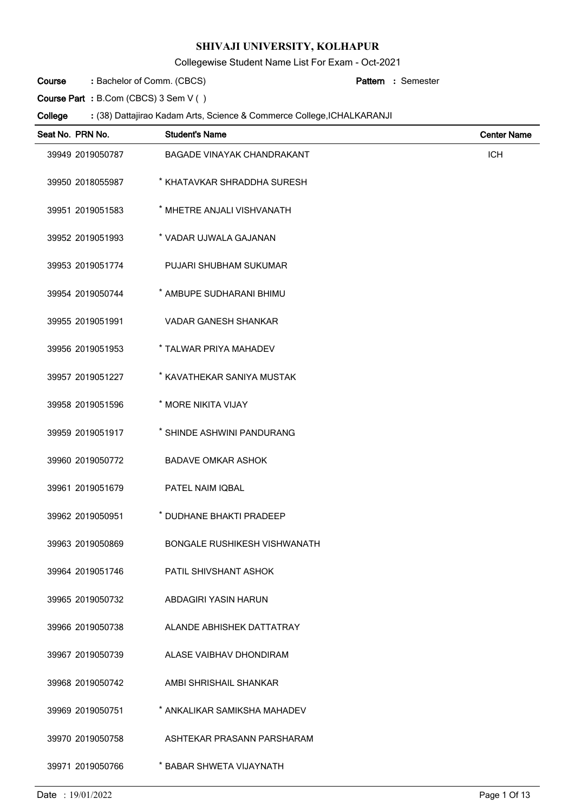Collegewise Student Name List For Exam - Oct-2021

Bachelor of Comm. (CBCS) **: Pattern Course**

Semester **:**

**Course Part :** B.Com (CBCS) 3 Sem V ( )

| Seat No. PRN No. | <b>Student's Name</b>               | <b>Center Name</b> |
|------------------|-------------------------------------|--------------------|
| 39949 2019050787 | <b>BAGADE VINAYAK CHANDRAKANT</b>   | <b>ICH</b>         |
| 39950 2018055987 | * KHATAVKAR SHRADDHA SURESH         |                    |
| 39951 2019051583 | * MHETRE ANJALI VISHVANATH          |                    |
| 39952 2019051993 | * VADAR UJWALA GAJANAN              |                    |
| 39953 2019051774 | PUJARI SHUBHAM SUKUMAR              |                    |
| 39954 2019050744 | * AMBUPE SUDHARANI BHIMU            |                    |
| 39955 2019051991 | <b>VADAR GANESH SHANKAR</b>         |                    |
| 39956 2019051953 | * TALWAR PRIYA MAHADEV              |                    |
| 39957 2019051227 | * KAVATHEKAR SANIYA MUSTAK          |                    |
| 39958 2019051596 | * MORE NIKITA VIJAY                 |                    |
| 39959 2019051917 | * SHINDE ASHWINI PANDURANG          |                    |
| 39960 2019050772 | <b>BADAVE OMKAR ASHOK</b>           |                    |
| 39961 2019051679 | PATEL NAIM IQBAL                    |                    |
| 39962 2019050951 | * DUDHANE BHAKTI PRADEEP            |                    |
| 39963 2019050869 | <b>BONGALE RUSHIKESH VISHWANATH</b> |                    |
| 39964 2019051746 | PATIL SHIVSHANT ASHOK               |                    |
| 39965 2019050732 | ABDAGIRI YASIN HARUN                |                    |
| 39966 2019050738 | ALANDE ABHISHEK DATTATRAY           |                    |
| 39967 2019050739 | ALASE VAIBHAV DHONDIRAM             |                    |
| 39968 2019050742 | AMBI SHRISHAIL SHANKAR              |                    |
| 39969 2019050751 | * ANKALIKAR SAMIKSHA MAHADEV        |                    |
| 39970 2019050758 | ASHTEKAR PRASANN PARSHARAM          |                    |
| 39971 2019050766 | * BABAR SHWETA VIJAYNATH            |                    |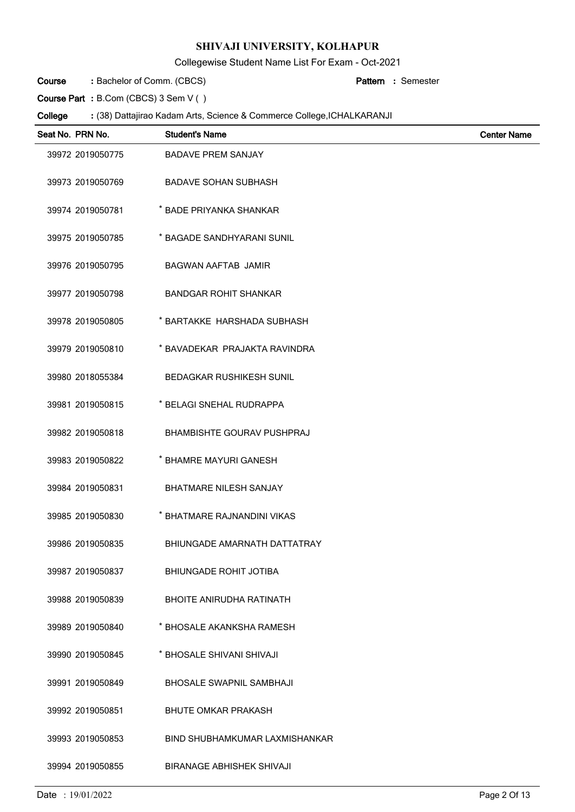Collegewise Student Name List For Exam - Oct-2021

Bachelor of Comm. (CBCS) **: Pattern Course**

Semester **:**

**Course Part :** B.Com (CBCS) 3 Sem V ( )

| Seat No. PRN No. | <b>Student's Name</b>             | <b>Center Name</b> |
|------------------|-----------------------------------|--------------------|
| 39972 2019050775 | <b>BADAVE PREM SANJAY</b>         |                    |
| 39973 2019050769 | <b>BADAVE SOHAN SUBHASH</b>       |                    |
| 39974 2019050781 | * BADE PRIYANKA SHANKAR           |                    |
| 39975 2019050785 | * BAGADE SANDHYARANI SUNIL        |                    |
| 39976 2019050795 | <b>BAGWAN AAFTAB JAMIR</b>        |                    |
| 39977 2019050798 | <b>BANDGAR ROHIT SHANKAR</b>      |                    |
| 39978 2019050805 | * BARTAKKE HARSHADA SUBHASH       |                    |
| 39979 2019050810 | * BAVADEKAR PRAJAKTA RAVINDRA     |                    |
| 39980 2018055384 | <b>BEDAGKAR RUSHIKESH SUNIL</b>   |                    |
| 39981 2019050815 | * BELAGI SNEHAL RUDRAPPA          |                    |
| 39982 2019050818 | <b>BHAMBISHTE GOURAV PUSHPRAJ</b> |                    |
| 39983 2019050822 | * BHAMRE MAYURI GANESH            |                    |
| 39984 2019050831 | <b>BHATMARE NILESH SANJAY</b>     |                    |
| 39985 2019050830 | * BHATMARE RAJNANDINI VIKAS       |                    |
| 39986 2019050835 | BHIUNGADE AMARNATH DATTATRAY      |                    |
| 39987 2019050837 | <b>BHIUNGADE ROHIT JOTIBA</b>     |                    |
| 39988 2019050839 | <b>BHOITE ANIRUDHA RATINATH</b>   |                    |
| 39989 2019050840 | * BHOSALE AKANKSHA RAMESH         |                    |
| 39990 2019050845 | * BHOSALE SHIVANI SHIVAJI         |                    |
| 39991 2019050849 | <b>BHOSALE SWAPNIL SAMBHAJI</b>   |                    |
| 39992 2019050851 | <b>BHUTE OMKAR PRAKASH</b>        |                    |
| 39993 2019050853 | BIND SHUBHAMKUMAR LAXMISHANKAR    |                    |
| 39994 2019050855 | <b>BIRANAGE ABHISHEK SHIVAJI</b>  |                    |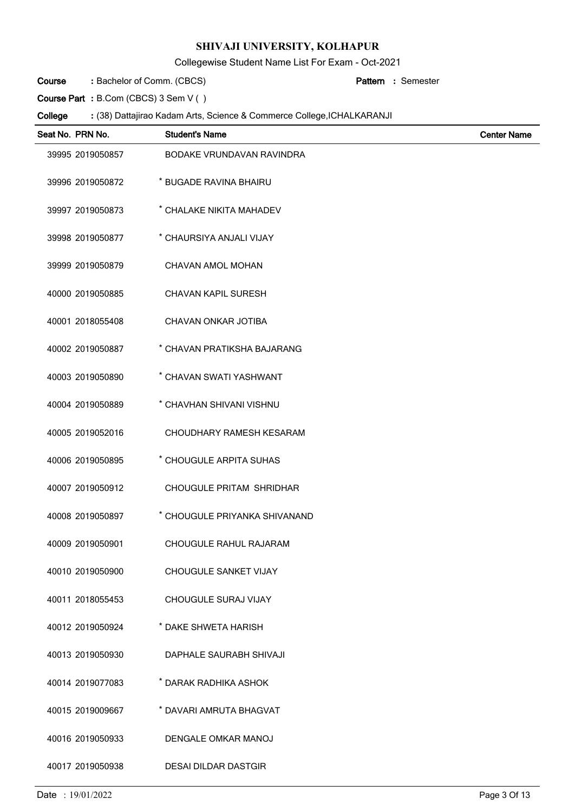Collegewise Student Name List For Exam - Oct-2021

Bachelor of Comm. (CBCS) **: Pattern Course**

Semester **:**

**Course Part :** B.Com (CBCS) 3 Sem V ( )

| Seat No. PRN No. | <b>Student's Name</b>            | <b>Center Name</b> |
|------------------|----------------------------------|--------------------|
| 39995 2019050857 | <b>BODAKE VRUNDAVAN RAVINDRA</b> |                    |
| 39996 2019050872 | * BUGADE RAVINA BHAIRU           |                    |
| 39997 2019050873 | * CHALAKE NIKITA MAHADEV         |                    |
| 39998 2019050877 | * CHAURSIYA ANJALI VIJAY         |                    |
| 39999 2019050879 | CHAVAN AMOL MOHAN                |                    |
| 40000 2019050885 | CHAVAN KAPIL SURESH              |                    |
| 40001 2018055408 | CHAVAN ONKAR JOTIBA              |                    |
| 40002 2019050887 | * CHAVAN PRATIKSHA BAJARANG      |                    |
| 40003 2019050890 | * CHAVAN SWATI YASHWANT          |                    |
| 40004 2019050889 | * CHAVHAN SHIVANI VISHNU         |                    |
| 40005 2019052016 | CHOUDHARY RAMESH KESARAM         |                    |
| 40006 2019050895 | * CHOUGULE ARPITA SUHAS          |                    |
| 40007 2019050912 | CHOUGULE PRITAM SHRIDHAR         |                    |
| 40008 2019050897 | * CHOUGULE PRIYANKA SHIVANAND    |                    |
| 40009 2019050901 | CHOUGULE RAHUL RAJARAM           |                    |
| 40010 2019050900 | CHOUGULE SANKET VIJAY            |                    |
| 40011 2018055453 | CHOUGULE SURAJ VIJAY             |                    |
| 40012 2019050924 | * DAKE SHWETA HARISH             |                    |
| 40013 2019050930 | DAPHALE SAURABH SHIVAJI          |                    |
| 40014 2019077083 | * DARAK RADHIKA ASHOK            |                    |
| 40015 2019009667 | * DAVARI AMRUTA BHAGVAT          |                    |
| 40016 2019050933 | DENGALE OMKAR MANOJ              |                    |
| 40017 2019050938 | <b>DESAI DILDAR DASTGIR</b>      |                    |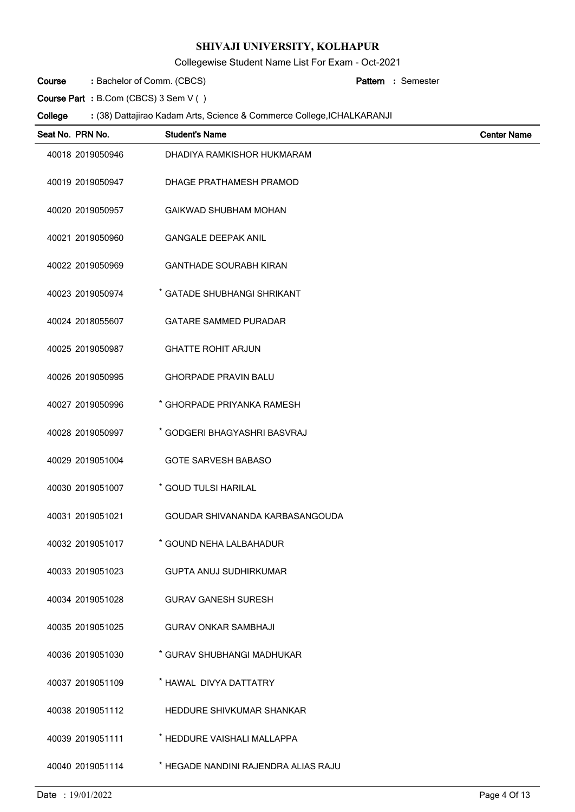Collegewise Student Name List For Exam - Oct-2021

Bachelor of Comm. (CBCS) **: Pattern Course**

Semester **:**

**Course Part :** B.Com (CBCS) 3 Sem V ( )

| Seat No. PRN No. | <b>Student's Name</b>                | <b>Center Name</b> |
|------------------|--------------------------------------|--------------------|
| 40018 2019050946 | DHADIYA RAMKISHOR HUKMARAM           |                    |
| 40019 2019050947 | DHAGE PRATHAMESH PRAMOD              |                    |
| 40020 2019050957 | <b>GAIKWAD SHUBHAM MOHAN</b>         |                    |
| 40021 2019050960 | <b>GANGALE DEEPAK ANIL</b>           |                    |
| 40022 2019050969 | <b>GANTHADE SOURABH KIRAN</b>        |                    |
| 40023 2019050974 | * GATADE SHUBHANGI SHRIKANT          |                    |
| 40024 2018055607 | <b>GATARE SAMMED PURADAR</b>         |                    |
| 40025 2019050987 | <b>GHATTE ROHIT ARJUN</b>            |                    |
| 40026 2019050995 | <b>GHORPADE PRAVIN BALU</b>          |                    |
| 40027 2019050996 | * GHORPADE PRIYANKA RAMESH           |                    |
| 40028 2019050997 | * GODGERI BHAGYASHRI BASVRAJ         |                    |
| 40029 2019051004 | <b>GOTE SARVESH BABASO</b>           |                    |
| 40030 2019051007 | * GOUD TULSI HARILAL                 |                    |
| 40031 2019051021 | GOUDAR SHIVANANDA KARBASANGOUDA      |                    |
| 40032 2019051017 | * GOUND NEHA LALBAHADUR              |                    |
| 40033 2019051023 | <b>GUPTA ANUJ SUDHIRKUMAR</b>        |                    |
| 40034 2019051028 | <b>GURAV GANESH SURESH</b>           |                    |
| 40035 2019051025 | <b>GURAV ONKAR SAMBHAJI</b>          |                    |
| 40036 2019051030 | * GURAV SHUBHANGI MADHUKAR           |                    |
| 40037 2019051109 | * HAWAL DIVYA DATTATRY               |                    |
| 40038 2019051112 | HEDDURE SHIVKUMAR SHANKAR            |                    |
| 40039 2019051111 | * HEDDURE VAISHALI MALLAPPA          |                    |
| 40040 2019051114 | * HEGADE NANDINI RAJENDRA ALIAS RAJU |                    |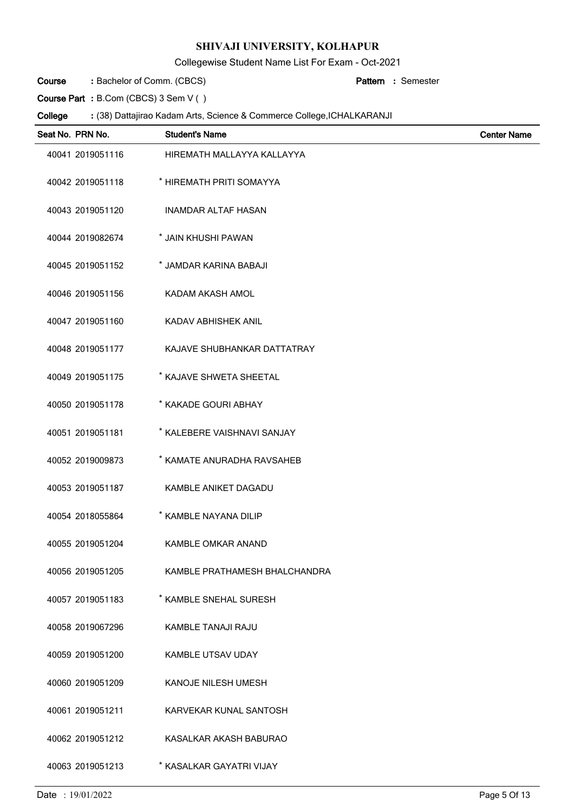Collegewise Student Name List For Exam - Oct-2021

Bachelor of Comm. (CBCS) **: Pattern Course**

Semester **:**

**Course Part :** B.Com (CBCS) 3 Sem V ( )

| Seat No. PRN No. | <b>Student's Name</b>         | <b>Center Name</b> |
|------------------|-------------------------------|--------------------|
| 40041 2019051116 | HIREMATH MALLAYYA KALLAYYA    |                    |
| 40042 2019051118 | * HIREMATH PRITI SOMAYYA      |                    |
| 40043 2019051120 | <b>INAMDAR ALTAF HASAN</b>    |                    |
| 40044 2019082674 | * JAIN KHUSHI PAWAN           |                    |
| 40045 2019051152 | * JAMDAR KARINA BABAJI        |                    |
| 40046 2019051156 | KADAM AKASH AMOL              |                    |
| 40047 2019051160 | KADAV ABHISHEK ANIL           |                    |
| 40048 2019051177 | KAJAVE SHUBHANKAR DATTATRAY   |                    |
| 40049 2019051175 | * KAJAVE SHWETA SHEETAL       |                    |
| 40050 2019051178 | * KAKADE GOURI ABHAY          |                    |
| 40051 2019051181 | * KALEBERE VAISHNAVI SANJAY   |                    |
| 40052 2019009873 | * KAMATE ANURADHA RAVSAHEB    |                    |
| 40053 2019051187 | KAMBLE ANIKET DAGADU          |                    |
| 40054 2018055864 | * KAMBLE NAYANA DILIP         |                    |
| 40055 2019051204 | KAMBLE OMKAR ANAND            |                    |
| 40056 2019051205 | KAMBLE PRATHAMESH BHALCHANDRA |                    |
| 40057 2019051183 | * KAMBLE SNEHAL SURESH        |                    |
| 40058 2019067296 | KAMBLE TANAJI RAJU            |                    |
| 40059 2019051200 | <b>KAMBLE UTSAV UDAY</b>      |                    |
| 40060 2019051209 | KANOJE NILESH UMESH           |                    |
| 40061 2019051211 | KARVEKAR KUNAL SANTOSH        |                    |
| 40062 2019051212 | KASALKAR AKASH BABURAO        |                    |
| 40063 2019051213 | * KASALKAR GAYATRI VIJAY      |                    |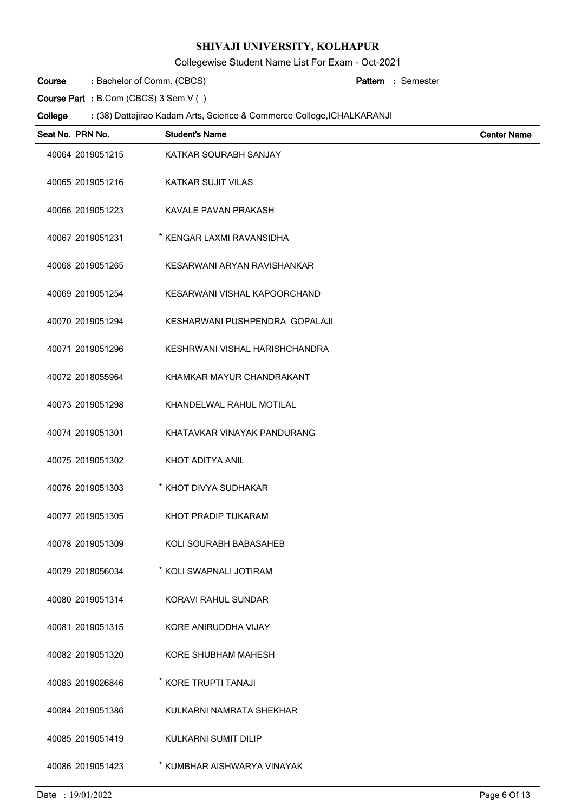Collegewise Student Name List For Exam - Oct-2021

Bachelor of Comm. (CBCS) **: Pattern Course**

Semester **:**

**Course Part :** B.Com (CBCS) 3 Sem V ( )

| Seat No. PRN No. | <b>Student's Name</b>          | <b>Center Name</b> |
|------------------|--------------------------------|--------------------|
| 40064 2019051215 | KATKAR SOURABH SANJAY          |                    |
| 40065 2019051216 | <b>KATKAR SUJIT VILAS</b>      |                    |
| 40066 2019051223 | KAVALE PAVAN PRAKASH           |                    |
| 40067 2019051231 | * KENGAR LAXMI RAVANSIDHA      |                    |
| 40068 2019051265 | KESARWANI ARYAN RAVISHANKAR    |                    |
| 40069 2019051254 | KESARWANI VISHAL KAPOORCHAND   |                    |
| 40070 2019051294 | KESHARWANI PUSHPENDRA GOPALAJI |                    |
| 40071 2019051296 | KESHRWANI VISHAL HARISHCHANDRA |                    |
| 40072 2018055964 | KHAMKAR MAYUR CHANDRAKANT      |                    |
| 40073 2019051298 | KHANDELWAL RAHUL MOTILAL       |                    |
| 40074 2019051301 | KHATAVKAR VINAYAK PANDURANG    |                    |
| 40075 2019051302 | KHOT ADITYA ANIL               |                    |
| 40076 2019051303 | * KHOT DIVYA SUDHAKAR          |                    |
| 40077 2019051305 | KHOT PRADIP TUKARAM            |                    |
| 40078 2019051309 | KOLI SOURABH BABASAHEB         |                    |
| 40079 2018056034 | * KOLI SWAPNALI JOTIRAM        |                    |
| 40080 2019051314 | KORAVI RAHUL SUNDAR            |                    |
| 40081 2019051315 | KORE ANIRUDDHA VIJAY           |                    |
| 40082 2019051320 | KORE SHUBHAM MAHESH            |                    |
| 40083 2019026846 | * KORE TRUPTI TANAJI           |                    |
| 40084 2019051386 | KULKARNI NAMRATA SHEKHAR       |                    |
| 40085 2019051419 | KULKARNI SUMIT DILIP           |                    |
| 40086 2019051423 | * KUMBHAR AISHWARYA VINAYAK    |                    |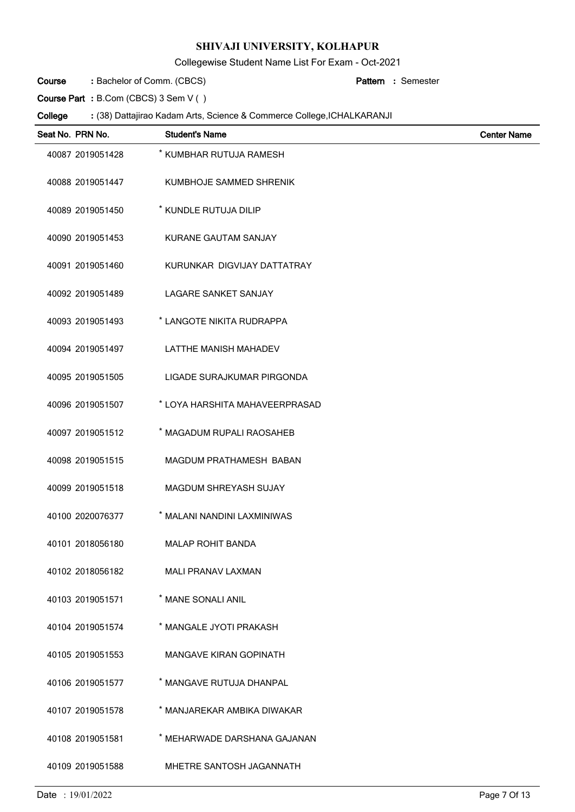Collegewise Student Name List For Exam - Oct-2021

Bachelor of Comm. (CBCS) **: Pattern Course**

Semester **:**

**Course Part :** B.Com (CBCS) 3 Sem V ( )

| Seat No. PRN No. | <b>Student's Name</b>          | <b>Center Name</b> |
|------------------|--------------------------------|--------------------|
| 40087 2019051428 | * KUMBHAR RUTUJA RAMESH        |                    |
| 40088 2019051447 | KUMBHOJE SAMMED SHRENIK        |                    |
| 40089 2019051450 | * KUNDLE RUTUJA DILIP          |                    |
| 40090 2019051453 | KURANE GAUTAM SANJAY           |                    |
| 40091 2019051460 | KURUNKAR DIGVIJAY DATTATRAY    |                    |
| 40092 2019051489 | <b>LAGARE SANKET SANJAY</b>    |                    |
| 40093 2019051493 | * LANGOTE NIKITA RUDRAPPA      |                    |
| 40094 2019051497 | LATTHE MANISH MAHADEV          |                    |
| 40095 2019051505 | LIGADE SURAJKUMAR PIRGONDA     |                    |
| 40096 2019051507 | * LOYA HARSHITA MAHAVEERPRASAD |                    |
| 40097 2019051512 | * MAGADUM RUPALI RAOSAHEB      |                    |
| 40098 2019051515 | MAGDUM PRATHAMESH BABAN        |                    |
| 40099 2019051518 | MAGDUM SHREYASH SUJAY          |                    |
| 40100 2020076377 | * MALANI NANDINI LAXMINIWAS    |                    |
| 40101 2018056180 | <b>MALAP ROHIT BANDA</b>       |                    |
| 40102 2018056182 | <b>MALI PRANAV LAXMAN</b>      |                    |
| 40103 2019051571 | * MANE SONALI ANIL             |                    |
| 40104 2019051574 | * MANGALE JYOTI PRAKASH        |                    |
| 40105 2019051553 | <b>MANGAVE KIRAN GOPINATH</b>  |                    |
| 40106 2019051577 | * MANGAVE RUTUJA DHANPAL       |                    |
| 40107 2019051578 | * MANJAREKAR AMBIKA DIWAKAR    |                    |
| 40108 2019051581 | * MEHARWADE DARSHANA GAJANAN   |                    |
| 40109 2019051588 | MHETRE SANTOSH JAGANNATH       |                    |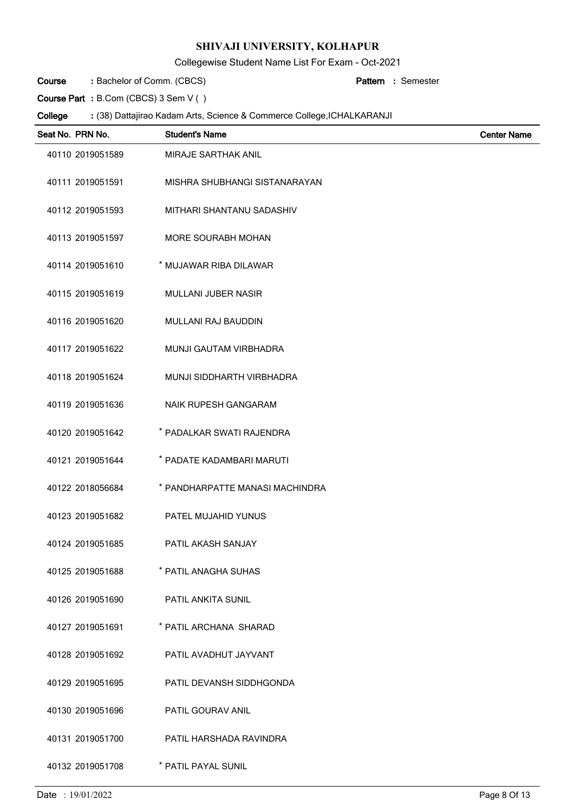Collegewise Student Name List For Exam - Oct-2021

Bachelor of Comm. (CBCS) **: Pattern Course**

Semester **:**

**Course Part :** B.Com (CBCS) 3 Sem V ( )

 $\overline{a}$ 

| Seat No. PRN No. | <b>Student's Name</b>           | <b>Center Name</b> |
|------------------|---------------------------------|--------------------|
| 40110 2019051589 | MIRAJE SARTHAK ANIL             |                    |
| 40111 2019051591 | MISHRA SHUBHANGI SISTANARAYAN   |                    |
| 40112 2019051593 | MITHARI SHANTANU SADASHIV       |                    |
| 40113 2019051597 | MORE SOURABH MOHAN              |                    |
| 40114 2019051610 | * MUJAWAR RIBA DILAWAR          |                    |
| 40115 2019051619 | MULLANI JUBER NASIR             |                    |
| 40116 2019051620 | MULLANI RAJ BAUDDIN             |                    |
| 40117 2019051622 | MUNJI GAUTAM VIRBHADRA          |                    |
| 40118 2019051624 | MUNJI SIDDHARTH VIRBHADRA       |                    |
| 40119 2019051636 | NAIK RUPESH GANGARAM            |                    |
| 40120 2019051642 | * PADALKAR SWATI RAJENDRA       |                    |
| 40121 2019051644 | * PADATE KADAMBARI MARUTI       |                    |
| 40122 2018056684 | * PANDHARPATTE MANASI MACHINDRA |                    |
| 40123 2019051682 | PATEL MUJAHID YUNUS             |                    |
| 40124 2019051685 | PATIL AKASH SANJAY              |                    |
| 40125 2019051688 | * PATIL ANAGHA SUHAS            |                    |
| 40126 2019051690 | PATIL ANKITA SUNIL              |                    |
| 40127 2019051691 | * PATIL ARCHANA SHARAD          |                    |
| 40128 2019051692 | PATIL AVADHUT JAYVANT           |                    |
| 40129 2019051695 | PATIL DEVANSH SIDDHGONDA        |                    |
| 40130 2019051696 | PATIL GOURAV ANIL               |                    |
| 40131 2019051700 | PATIL HARSHADA RAVINDRA         |                    |
| 40132 2019051708 | * PATIL PAYAL SUNIL             |                    |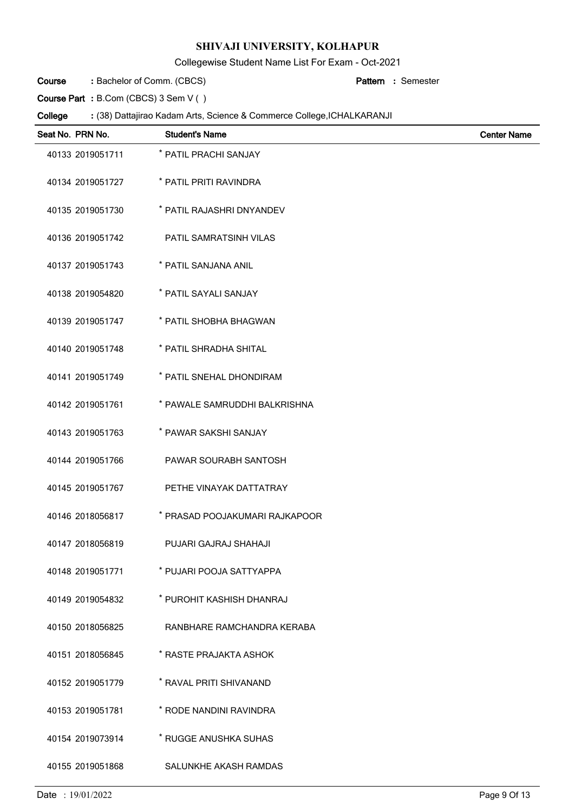Collegewise Student Name List For Exam - Oct-2021

Bachelor of Comm. (CBCS) **: Pattern Course**

Semester **:**

**Course Part :** B.Com (CBCS) 3 Sem V ( )

| Seat No. PRN No. | <b>Student's Name</b>          | <b>Center Name</b> |
|------------------|--------------------------------|--------------------|
| 40133 2019051711 | * PATIL PRACHI SANJAY          |                    |
| 40134 2019051727 | * PATIL PRITI RAVINDRA         |                    |
| 40135 2019051730 | * PATIL RAJASHRI DNYANDEV      |                    |
| 40136 2019051742 | PATIL SAMRATSINH VILAS         |                    |
| 40137 2019051743 | * PATIL SANJANA ANIL           |                    |
| 40138 2019054820 | * PATIL SAYALI SANJAY          |                    |
| 40139 2019051747 | * PATIL SHOBHA BHAGWAN         |                    |
| 40140 2019051748 | * PATIL SHRADHA SHITAL         |                    |
| 40141 2019051749 | * PATIL SNEHAL DHONDIRAM       |                    |
| 40142 2019051761 | * PAWALE SAMRUDDHI BALKRISHNA  |                    |
| 40143 2019051763 | * PAWAR SAKSHI SANJAY          |                    |
| 40144 2019051766 | PAWAR SOURABH SANTOSH          |                    |
| 40145 2019051767 | PETHE VINAYAK DATTATRAY        |                    |
| 40146 2018056817 | * PRASAD POOJAKUMARI RAJKAPOOR |                    |
| 40147 2018056819 | PUJARI GAJRAJ SHAHAJI          |                    |
| 40148 2019051771 | * PUJARI POOJA SATTYAPPA       |                    |
| 40149 2019054832 | * PUROHIT KASHISH DHANRAJ      |                    |
| 40150 2018056825 | RANBHARE RAMCHANDRA KERABA     |                    |
| 40151 2018056845 | * RASTE PRAJAKTA ASHOK         |                    |
| 40152 2019051779 | * RAVAL PRITI SHIVANAND        |                    |
| 40153 2019051781 | * RODE NANDINI RAVINDRA        |                    |
| 40154 2019073914 | * RUGGE ANUSHKA SUHAS          |                    |
| 40155 2019051868 | SALUNKHE AKASH RAMDAS          |                    |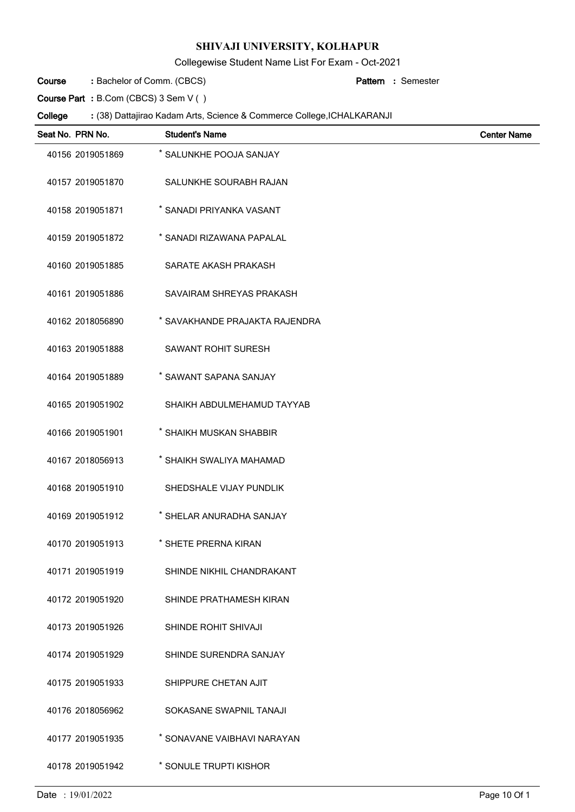Collegewise Student Name List For Exam - Oct-2021

Bachelor of Comm. (CBCS) **: Pattern Course**

Semester **:**

**Course Part :** B.Com (CBCS) 3 Sem V ( )

| Seat No. PRN No. | <b>Student's Name</b>          | <b>Center Name</b> |
|------------------|--------------------------------|--------------------|
| 40156 2019051869 | * SALUNKHE POOJA SANJAY        |                    |
| 40157 2019051870 | SALUNKHE SOURABH RAJAN         |                    |
| 40158 2019051871 | * SANADI PRIYANKA VASANT       |                    |
| 40159 2019051872 | * SANADI RIZAWANA PAPALAL      |                    |
| 40160 2019051885 | SARATE AKASH PRAKASH           |                    |
| 40161 2019051886 | SAVAIRAM SHREYAS PRAKASH       |                    |
| 40162 2018056890 | * SAVAKHANDE PRAJAKTA RAJENDRA |                    |
| 40163 2019051888 | <b>SAWANT ROHIT SURESH</b>     |                    |
| 40164 2019051889 | * SAWANT SAPANA SANJAY         |                    |
| 40165 2019051902 | SHAIKH ABDULMEHAMUD TAYYAB     |                    |
| 40166 2019051901 | * SHAIKH MUSKAN SHABBIR        |                    |
| 40167 2018056913 | * SHAIKH SWALIYA MAHAMAD       |                    |
| 40168 2019051910 | SHEDSHALE VIJAY PUNDLIK        |                    |
| 40169 2019051912 | * SHELAR ANURADHA SANJAY       |                    |
| 40170 2019051913 | * SHETE PRERNA KIRAN           |                    |
| 40171 2019051919 | SHINDE NIKHIL CHANDRAKANT      |                    |
| 40172 2019051920 | SHINDE PRATHAMESH KIRAN        |                    |
| 40173 2019051926 | SHINDE ROHIT SHIVAJI           |                    |
| 40174 2019051929 | SHINDE SURENDRA SANJAY         |                    |
| 40175 2019051933 | SHIPPURE CHETAN AJIT           |                    |
| 40176 2018056962 | SOKASANE SWAPNIL TANAJI        |                    |
| 40177 2019051935 | * SONAVANE VAIBHAVI NARAYAN    |                    |
| 40178 2019051942 | * SONULE TRUPTI KISHOR         |                    |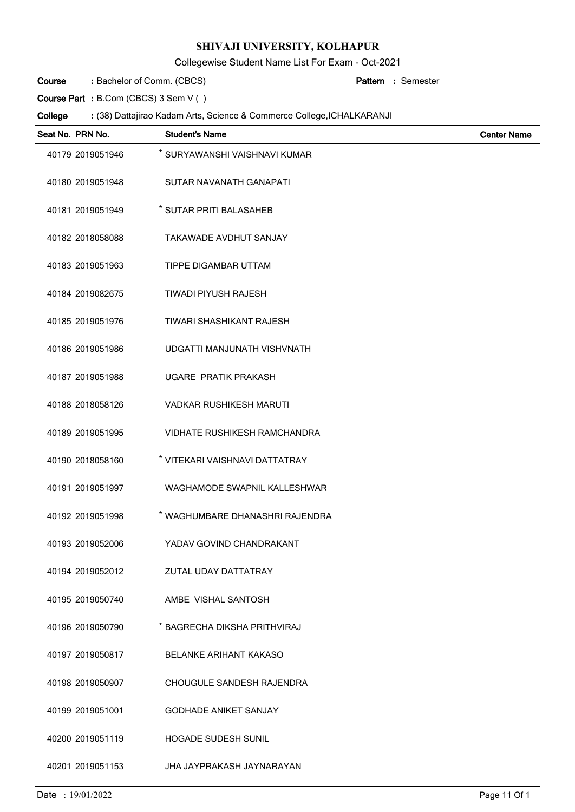Collegewise Student Name List For Exam - Oct-2021

Bachelor of Comm. (CBCS) **: Pattern Course**

Semester **:**

**Course Part :** B.Com (CBCS) 3 Sem V ( )

| Seat No. PRN No. | <b>Student's Name</b>               | <b>Center Name</b> |
|------------------|-------------------------------------|--------------------|
| 40179 2019051946 | * SURYAWANSHI VAISHNAVI KUMAR       |                    |
| 40180 2019051948 | SUTAR NAVANATH GANAPATI             |                    |
| 40181 2019051949 | * SUTAR PRITI BALASAHEB             |                    |
| 40182 2018058088 | TAKAWADE AVDHUT SANJAY              |                    |
| 40183 2019051963 | TIPPE DIGAMBAR UTTAM                |                    |
| 40184 2019082675 | <b>TIWADI PIYUSH RAJESH</b>         |                    |
| 40185 2019051976 | <b>TIWARI SHASHIKANT RAJESH</b>     |                    |
| 40186 2019051986 | UDGATTI MANJUNATH VISHVNATH         |                    |
| 40187 2019051988 | UGARE PRATIK PRAKASH                |                    |
| 40188 2018058126 | <b>VADKAR RUSHIKESH MARUTI</b>      |                    |
| 40189 2019051995 | <b>VIDHATE RUSHIKESH RAMCHANDRA</b> |                    |
| 40190 2018058160 | * VITEKARI VAISHNAVI DATTATRAY      |                    |
| 40191 2019051997 | WAGHAMODE SWAPNIL KALLESHWAR        |                    |
| 40192 2019051998 | * WAGHUMBARE DHANASHRI RAJENDRA     |                    |
| 40193 2019052006 | YADAV GOVIND CHANDRAKANT            |                    |
| 40194 2019052012 | ZUTAL UDAY DATTATRAY                |                    |
| 40195 2019050740 | AMBE VISHAL SANTOSH                 |                    |
| 40196 2019050790 | * BAGRECHA DIKSHA PRITHVIRAJ        |                    |
| 40197 2019050817 | <b>BELANKE ARIHANT KAKASO</b>       |                    |
| 40198 2019050907 | CHOUGULE SANDESH RAJENDRA           |                    |
| 40199 2019051001 | <b>GODHADE ANIKET SANJAY</b>        |                    |
| 40200 2019051119 | <b>HOGADE SUDESH SUNIL</b>          |                    |
| 40201 2019051153 | JHA JAYPRAKASH JAYNARAYAN           |                    |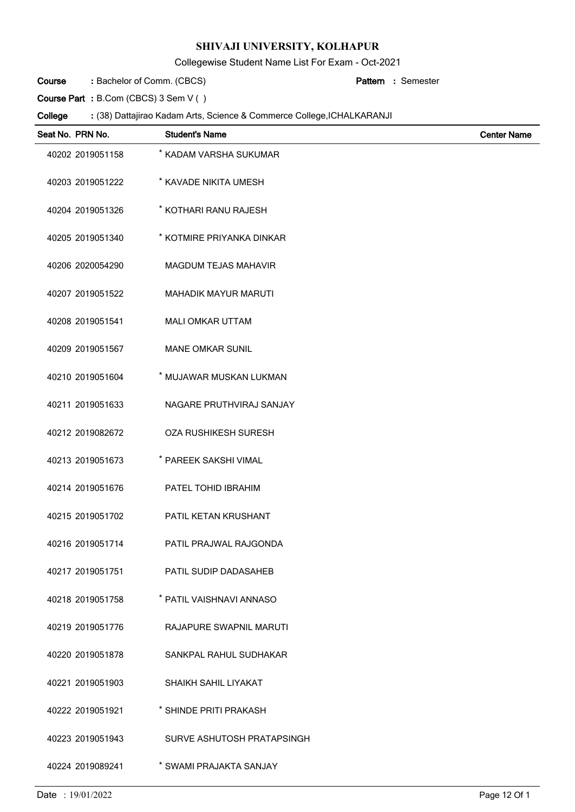Collegewise Student Name List For Exam - Oct-2021

Bachelor of Comm. (CBCS) **: Pattern Course**

Semester **:**

**Course Part :** B.Com (CBCS) 3 Sem V ( )

| Seat No. PRN No. | <b>Student's Name</b>          | <b>Center Name</b> |
|------------------|--------------------------------|--------------------|
| 40202 2019051158 | * KADAM VARSHA SUKUMAR         |                    |
| 40203 2019051222 | * KAVADE NIKITA UMESH          |                    |
| 40204 2019051326 | * KOTHARI RANU RAJESH          |                    |
| 40205 2019051340 | * KOTMIRE PRIYANKA DINKAR      |                    |
| 40206 2020054290 | <b>MAGDUM TEJAS MAHAVIR</b>    |                    |
| 40207 2019051522 | <b>MAHADIK MAYUR MARUTI</b>    |                    |
| 40208 2019051541 | <b>MALI OMKAR UTTAM</b>        |                    |
| 40209 2019051567 | <b>MANE OMKAR SUNIL</b>        |                    |
| 40210 2019051604 | * MUJAWAR MUSKAN LUKMAN        |                    |
| 40211 2019051633 | NAGARE PRUTHVIRAJ SANJAY       |                    |
| 40212 2019082672 | <b>OZA RUSHIKESH SURESH</b>    |                    |
| 40213 2019051673 | * PAREEK SAKSHI VIMAL          |                    |
| 40214 2019051676 | PATEL TOHID IBRAHIM            |                    |
| 40215 2019051702 | PATIL KETAN KRUSHANT           |                    |
| 40216 2019051714 | PATIL PRAJWAL RAJGONDA         |                    |
| 40217 2019051751 | PATIL SUDIP DADASAHEB          |                    |
| 40218 2019051758 | * PATIL VAISHNAVI ANNASO       |                    |
| 40219 2019051776 | <b>RAJAPURE SWAPNIL MARUTI</b> |                    |
| 40220 2019051878 | SANKPAL RAHUL SUDHAKAR         |                    |
| 40221 2019051903 | SHAIKH SAHIL LIYAKAT           |                    |
| 40222 2019051921 | * SHINDE PRITI PRAKASH         |                    |
| 40223 2019051943 | SURVE ASHUTOSH PRATAPSINGH     |                    |
| 40224 2019089241 | * SWAMI PRAJAKTA SANJAY        |                    |